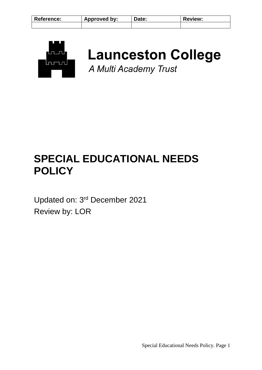| <b>Reference:</b> | Approved by: | Date: | :eview: |
|-------------------|--------------|-------|---------|
|                   |              |       |         |



# **Launceston College** A Multi Academy Trust

## **SPECIAL EDUCATIONAL NEEDS POLICY**

Updated on: 3<sup>rd</sup> December 2021 Review by: LOR

Special Educational Needs Policy. Page 1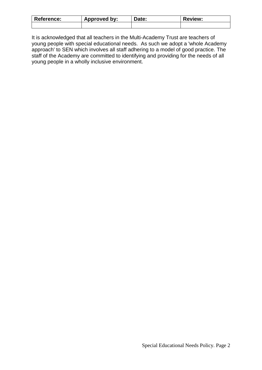| <b>Reference:</b> | Approved by: | Date: | Review: |
|-------------------|--------------|-------|---------|
|                   |              |       |         |

It is acknowledged that all teachers in the Multi-Academy Trust are teachers of young people with special educational needs. As such we adopt a 'whole Academy approach' to SEN which involves all staff adhering to a model of good practice. The staff of the Academy are committed to identifying and providing for the needs of all young people in a wholly inclusive environment.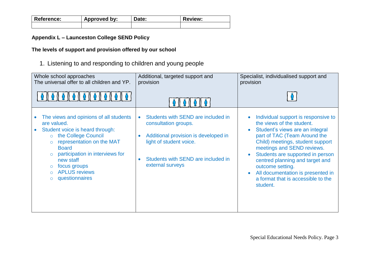| <b>Reference:</b> | Approved by: | Date: | <b>Review:</b> |
|-------------------|--------------|-------|----------------|
|                   |              |       |                |

#### **Appendix L – Launceston College SEND Policy**

#### **The levels of support and provision offered by our school**

1. Listening to and responding to children and young people

| Whole school approaches<br>The universal offer to all children and YP.                                                                                                                                                                                                                       | Additional, targeted support and<br>provision                                                                                                                                                        | Specialist, individualised support and<br>provision                                                                                                                                                                                                                                                                                                                                                               |
|----------------------------------------------------------------------------------------------------------------------------------------------------------------------------------------------------------------------------------------------------------------------------------------------|------------------------------------------------------------------------------------------------------------------------------------------------------------------------------------------------------|-------------------------------------------------------------------------------------------------------------------------------------------------------------------------------------------------------------------------------------------------------------------------------------------------------------------------------------------------------------------------------------------------------------------|
|                                                                                                                                                                                                                                                                                              |                                                                                                                                                                                                      |                                                                                                                                                                                                                                                                                                                                                                                                                   |
| The views and opinions of all students<br>are valued.<br>Student voice is heard through:<br>the College Council<br>$\circ$<br>representation on the MAT<br>$\circ$<br><b>Board</b><br>participation in interviews for<br>new staff<br>focus groups<br><b>APLUS reviews</b><br>questionnaires | Students with SEND are included in<br>$\bullet$<br>consultation groups.<br>Additional provision is developed in<br>light of student voice.<br>Students with SEND are included in<br>external surveys | Individual support is responsive to<br>the views of the student.<br>Student's views are an integral<br>$\bullet$<br>part of TAC (Team Around the<br>Child) meetings, student support<br>meetings and SEND reviews.<br>Students are supported in person<br>centred planning and target and<br>outcome setting.<br>All documentation is presented in<br>$\bullet$<br>a format that is accessible to the<br>student. |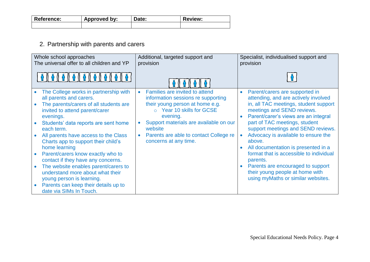| <b>Reference:</b> | Approved by: | Date: | <b>Review:</b> |
|-------------------|--------------|-------|----------------|
|                   |              |       |                |

#### 2. Partnership with parents and carers

| Whole school approaches<br>The universal offer to all children and YP                                                                                                                                                                                                                                                                                                                                                                                                                                                                                                  | Additional, targeted support and<br>provision                                                                                                                                                                                                                                         | Specialist, individualised support and<br>provision                                                                                                                                                                                                                                                                                                                                                                                                                                                                       |
|------------------------------------------------------------------------------------------------------------------------------------------------------------------------------------------------------------------------------------------------------------------------------------------------------------------------------------------------------------------------------------------------------------------------------------------------------------------------------------------------------------------------------------------------------------------------|---------------------------------------------------------------------------------------------------------------------------------------------------------------------------------------------------------------------------------------------------------------------------------------|---------------------------------------------------------------------------------------------------------------------------------------------------------------------------------------------------------------------------------------------------------------------------------------------------------------------------------------------------------------------------------------------------------------------------------------------------------------------------------------------------------------------------|
| 0   0   0   0   0   0   0   0   0                                                                                                                                                                                                                                                                                                                                                                                                                                                                                                                                      |                                                                                                                                                                                                                                                                                       |                                                                                                                                                                                                                                                                                                                                                                                                                                                                                                                           |
| The College works in partnership with<br>all parents and carers.<br>The parents/carers of all students are<br>invited to attend parent/carer<br>evenings.<br>Students' data reports are sent home<br>each term.<br>All parents have access to the Class<br>Charts app to support their child's<br>home learning<br>Parent/carers know exactly who to<br>contact if they have any concerns.<br>The website enables parent/carers to<br>understand more about what their<br>young person is learning.<br>Parents can keep their details up to<br>date via SIMs In Touch. | Families are invited to attend<br>$\bullet$<br>information sessions re supporting<br>their young person at home e.g.<br>○ Year 10 skills for GCSE<br>evening.<br>Support materials are available on our<br>website<br>Parents are able to contact College re<br>concerns at any time. | Parent/carers are supported in<br>attending, and are actively involved<br>in, all TAC meetings, student support<br>meetings and SEND reviews.<br>Parent/carer's views are an integral<br>part of TAC meetings, student<br>support meetings and SEND reviews.<br>Advocacy is available to ensure the<br>above.<br>All documentation is presented in a<br>format that is accessible to individual<br>parents.<br>Parents are encouraged to support<br>their young people at home with<br>using myMaths or similar websites. |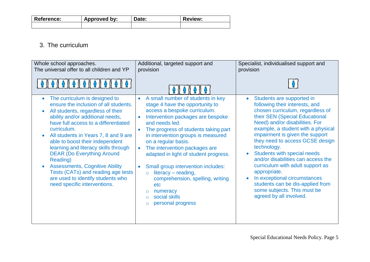| <b>Reference:</b> | Approved by: | Date: | <b>Review:</b> |
|-------------------|--------------|-------|----------------|
|                   |              |       |                |

## 3. The curriculum

| Whole school approaches.<br>The universal offer to all children and YP                                                                                                                                                                                                                                                                                                                                                                                                                                                                                   | Additional, targeted support and<br>provision                                                                                                                                                                                                                                                                                                                                                                                                                                                                                                                                            | Specialist, individualised support and<br>provision                                                                                                                                                                                                                                                                                                                                                                                                                                                                                                                                          |
|----------------------------------------------------------------------------------------------------------------------------------------------------------------------------------------------------------------------------------------------------------------------------------------------------------------------------------------------------------------------------------------------------------------------------------------------------------------------------------------------------------------------------------------------------------|------------------------------------------------------------------------------------------------------------------------------------------------------------------------------------------------------------------------------------------------------------------------------------------------------------------------------------------------------------------------------------------------------------------------------------------------------------------------------------------------------------------------------------------------------------------------------------------|----------------------------------------------------------------------------------------------------------------------------------------------------------------------------------------------------------------------------------------------------------------------------------------------------------------------------------------------------------------------------------------------------------------------------------------------------------------------------------------------------------------------------------------------------------------------------------------------|
|                                                                                                                                                                                                                                                                                                                                                                                                                                                                                                                                                          |                                                                                                                                                                                                                                                                                                                                                                                                                                                                                                                                                                                          |                                                                                                                                                                                                                                                                                                                                                                                                                                                                                                                                                                                              |
| The curriculum is designed to<br>$\bullet$<br>ensure the inclusion of all students.<br>All students, regardless of their<br>$\bullet$<br>ability and/or additional needs,<br>have full access to a differentiated<br>curriculum.<br>All students in Years 7, 8 and 9 are<br>able to boost their independent<br>learning and literacy skills through<br><b>DEAR (Do Everything Around</b><br>Reading)<br><b>Assessments, Cognitive Ability</b><br>Tests (CATs) and reading age tests<br>are used to identify students who<br>need specific interventions. | A small number of students in key<br>stage 4 have the opportunity to<br>access a bespoke curriculum.<br>Intervention packages are bespoke<br>$\bullet$<br>and needs led.<br>The progress of students taking part<br>in intervention groups is measured<br>on a regular basis.<br>The intervention packages are<br>$\bullet$<br>adapted in light of student progress.<br>Small group intervention includes:<br>$\bullet$<br>literacy - reading,<br>$\circ$<br>comprehension, spelling, writing<br>etc<br>numeracy<br>$\circ$<br>social skills<br>$\Omega$<br>personal progress<br>$\circ$ | Students are supported in<br>$\bullet$<br>following their interests, and<br>chosen curriculum, regardless of<br>their SEN (Special Educational<br>Need) and/or disabilities. For<br>example, a student with a physical<br>impairment is given the support<br>they need to access GCSE design<br>technology.<br>Students with special needs<br>$\bullet$<br>and/or disabilities can access the<br>curriculum with adult support as<br>appropriate.<br>In exceptional circumstances<br>$\bullet$<br>students can be dis-applied from<br>some subjects. This must be<br>agreed by all involved. |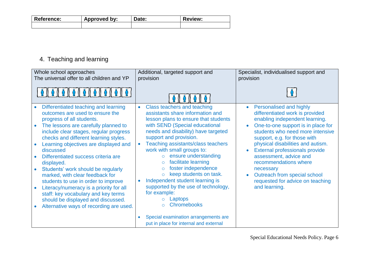| <b>Reference:</b> | Approved by: | Date: | <b>Review:</b> |
|-------------------|--------------|-------|----------------|
|                   |              |       |                |

## 4. Teaching and learning

| Whole school approaches<br>The universal offer to all children and YP                                                                                                                                                                                                                                                                                                                                                                                                                                                                                                                                                                                                             | Additional, targeted support and<br>provision                                                                                                                                                                                                                                                                                                                                                                                                                                                                                                                      | Specialist, individualised support and<br>provision                                                                                                                                                                                                                                                                                                                                                                                             |
|-----------------------------------------------------------------------------------------------------------------------------------------------------------------------------------------------------------------------------------------------------------------------------------------------------------------------------------------------------------------------------------------------------------------------------------------------------------------------------------------------------------------------------------------------------------------------------------------------------------------------------------------------------------------------------------|--------------------------------------------------------------------------------------------------------------------------------------------------------------------------------------------------------------------------------------------------------------------------------------------------------------------------------------------------------------------------------------------------------------------------------------------------------------------------------------------------------------------------------------------------------------------|-------------------------------------------------------------------------------------------------------------------------------------------------------------------------------------------------------------------------------------------------------------------------------------------------------------------------------------------------------------------------------------------------------------------------------------------------|
| 0   0   0   0   0   0   0   0   0                                                                                                                                                                                                                                                                                                                                                                                                                                                                                                                                                                                                                                                 |                                                                                                                                                                                                                                                                                                                                                                                                                                                                                                                                                                    |                                                                                                                                                                                                                                                                                                                                                                                                                                                 |
| Differentiated teaching and learning<br>$\bullet$<br>outcomes are used to ensure the<br>progress of all students.<br>The lessons are carefully planned to<br>include clear stages, regular progress<br>checks and different learning styles.<br>Learning objectives are displayed and<br>discussed<br>Differentiated success criteria are<br>$\bullet$<br>displayed.<br>Students' work should be regularly<br>$\bullet$<br>marked, with clear feedback for<br>students to use in order to improve<br>Literacy/numeracy is a priority for all<br>$\bullet$<br>staff: key vocabulary and key terms<br>should be displayed and discussed.<br>Alternative ways of recording are used. | Class teachers and teaching<br>$\bullet$<br>assistants share information and<br>lesson plans to ensure that students<br>with SEND (Special educational<br>needs and disability) have targeted<br>support and provision.<br>Teaching assistants/class teachers<br>work with small groups to:<br>ensure understanding<br>$\circ$<br>facilitate learning<br>$\circ$<br>foster independence<br>$\circ$<br>keep students on task.<br>$\circ$<br>Independent student learning is<br>supported by the use of technology,<br>for example:<br>Laptops<br><b>Chromebooks</b> | Personalised and highly<br>differentiated work is provided<br>enabling independent learning.<br>One-to-one support is in place for<br>students who need more intensive<br>support, e.g. for those with<br>physical disabilities and autism.<br>External professionals provide<br>$\bullet$<br>assessment, advice and<br>recommendations where<br>necessary<br>Outreach from special school<br>requested for advice on teaching<br>and learning. |
|                                                                                                                                                                                                                                                                                                                                                                                                                                                                                                                                                                                                                                                                                   | Special examination arrangements are<br>put in place for internal and external                                                                                                                                                                                                                                                                                                                                                                                                                                                                                     |                                                                                                                                                                                                                                                                                                                                                                                                                                                 |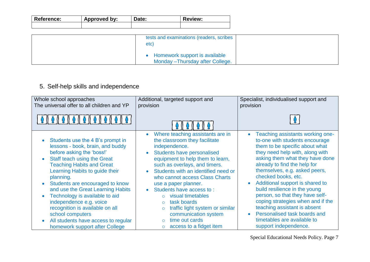| <b>Reference:</b> | Approved by: | Date: | <b>Review:</b> |
|-------------------|--------------|-------|----------------|
|                   |              |       |                |

| tests and examinations (readers, scribes<br>etc)                    |  |
|---------------------------------------------------------------------|--|
| • Homework support is available<br>Monday - Thursday after College. |  |

Ξ

## 5. Self-help skills and independence

| Whole school approaches                                                                                                                                                                                                                                                                                                                                                                                                                                                                  | Additional, targeted support and                                                                                                                                                                                                                                                                                                                                                                                                                                                                                                     | Specialist, individualised support and                                                                                                                                                                                                                                                                                                                                                                                                                                                                                                 |
|------------------------------------------------------------------------------------------------------------------------------------------------------------------------------------------------------------------------------------------------------------------------------------------------------------------------------------------------------------------------------------------------------------------------------------------------------------------------------------------|--------------------------------------------------------------------------------------------------------------------------------------------------------------------------------------------------------------------------------------------------------------------------------------------------------------------------------------------------------------------------------------------------------------------------------------------------------------------------------------------------------------------------------------|----------------------------------------------------------------------------------------------------------------------------------------------------------------------------------------------------------------------------------------------------------------------------------------------------------------------------------------------------------------------------------------------------------------------------------------------------------------------------------------------------------------------------------------|
| The universal offer to all children and YP                                                                                                                                                                                                                                                                                                                                                                                                                                               | provision                                                                                                                                                                                                                                                                                                                                                                                                                                                                                                                            | provision                                                                                                                                                                                                                                                                                                                                                                                                                                                                                                                              |
|                                                                                                                                                                                                                                                                                                                                                                                                                                                                                          |                                                                                                                                                                                                                                                                                                                                                                                                                                                                                                                                      |                                                                                                                                                                                                                                                                                                                                                                                                                                                                                                                                        |
| Students use the 4 B's prompt in<br>lessons - book, brain, and buddy<br>before asking the 'boss!'<br>Staff teach using the Great<br><b>Teaching Habits and Great</b><br>Learning Habits to guide their<br>planning.<br>Students are encouraged to know<br>and use the Great Learning Habits<br>Technology is available to aid<br>independence e.g. voice<br>recognition is available on all<br>school computers<br>All students have access to regular<br>homework support after College | Where teaching assistants are in<br>$\bullet$<br>the classroom they facilitate<br>independence.<br><b>Students have personalised</b><br>$\bullet$<br>equipment to help them to learn,<br>such as overlays, and timers.<br>Students with an identified need or<br>$\bullet$<br>who cannot access Class Charts<br>use a paper planner.<br>Students have access to:<br>$\bullet$<br>visual timetables<br>task boards<br>traffic light system or similar<br>$\circ$<br>communication system<br>time out cards<br>access to a fidget item | Teaching assistants working one-<br>to-one with students encourage<br>them to be specific about what<br>they need help with, along with<br>asking them what they have done<br>already to find the help for<br>themselves, e.g. asked peers,<br>checked books, etc.<br>Additional support is shared to<br>build resilience in the young<br>person, so that they have self-<br>coping strategies when and if the<br>teaching assistant is absent<br>Personalised task boards and<br>timetables are available to<br>support independence. |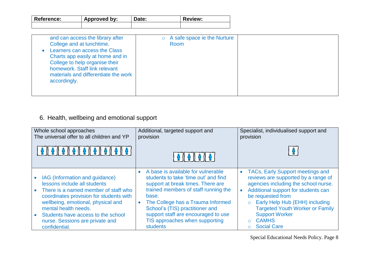| Reference: | Approved by: | Date: | <b>Review:</b> |
|------------|--------------|-------|----------------|
|            |              |       |                |

| and can access the library after<br>College and at lunchtime.<br>Learners can access the Class<br>Charts app easily at home and in<br>College to help organise their<br>homework. Staff link relevant<br>materials and differentiate the work<br>accordingly. | $\circ$ A safe space ie the Nurture<br>Room |  |
|---------------------------------------------------------------------------------------------------------------------------------------------------------------------------------------------------------------------------------------------------------------|---------------------------------------------|--|
|---------------------------------------------------------------------------------------------------------------------------------------------------------------------------------------------------------------------------------------------------------------|---------------------------------------------|--|

Ξ

#### 6. Health, wellbeing and emotional support

| Whole school approaches<br>The universal offer to all children and YP                                                                                                                                                                                                                                       | Additional, targeted support and<br>provision                                                                                                                                                                                                                                                                                                     | Specialist, individualised support and<br>provision                                                                                                                                                                                                                                                                                                                     |
|-------------------------------------------------------------------------------------------------------------------------------------------------------------------------------------------------------------------------------------------------------------------------------------------------------------|---------------------------------------------------------------------------------------------------------------------------------------------------------------------------------------------------------------------------------------------------------------------------------------------------------------------------------------------------|-------------------------------------------------------------------------------------------------------------------------------------------------------------------------------------------------------------------------------------------------------------------------------------------------------------------------------------------------------------------------|
| <u>   6   6   6   6   6   6   6   6   6  </u>                                                                                                                                                                                                                                                               |                                                                                                                                                                                                                                                                                                                                                   |                                                                                                                                                                                                                                                                                                                                                                         |
| IAG (Information and guidance)<br>lessons include all students<br>• There is a named member of staff who<br>coordinates provision for students with<br>wellbeing, emotional, physical and<br>mental health needs.<br>Students have access to the school<br>nurse. Sessions are private and<br>confidential. | A base is available for vulnerable<br>students to take 'time out' and find<br>support at break times. There are<br>trained members of staff running the<br>base.<br>The College has a Trauma Informed<br>$\bullet$<br>School's (TIS) practitioner and<br>support staff are encouraged to use<br>TIS approaches when supporting<br><b>students</b> | TACs, Early Support meetings and<br>$\bullet$<br>reviews are supported by a range of<br>agencies including the school nurse.<br>Additional support for students can<br>$\bullet$<br>be requested from<br>Early Help Hub (EHH) including<br>$\circ$<br><b>Targeted Youth Worker or Family</b><br><b>Support Worker</b><br><b>CAMHS</b><br>$\Omega$<br><b>Social Care</b> |

Special Educational Needs Policy. Page 8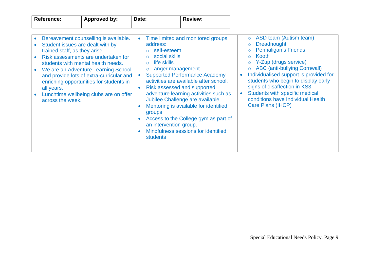| <b>Reference:</b> | Approved by: | Date: | Review: |
|-------------------|--------------|-------|---------|
|                   |              |       |         |

| Bereavement counselling is available.<br>Student issues are dealt with by<br>trained staff, as they arise.<br>Risk assessments are undertaken for<br>students with mental health needs.<br>We are an Adventure Learning School<br>and provide lots of extra-curricular and<br>enriching opportunities for students in<br>all years.<br>Lunchtime wellbeing clubs are on offer<br>across the week. | Time limited and monitored groups<br>$\bullet$<br>address:<br>self-esteem<br>social skills<br>life skills<br>$\circ$<br>anger management<br><b>Supported Performance Academy</b><br>$\bullet$<br>activities are available after school.<br>Risk assessed and supported<br>adventure learning activities such as<br>Jubilee Challenge are available.<br>Mentoring is available for identified<br>groups<br>Access to the College gym as part of<br>an intervention group.<br>Mindfulness sessions for identified<br><b>students</b> | ASD team (Autism team)<br>$\circ$<br><b>Dreadnought</b><br>$\circ$<br><b>Penhaligan's Friends</b><br>$\circ$<br>Kooth<br>$\circ$<br>Y-Zup (drugs service)<br><b>ABC (anti-bullying Cornwall)</b><br>$\circ$<br>Individualised support is provided for<br>students who begin to display early<br>signs of disaffection in KS3.<br>Students with specific medical<br>conditions have Individual Health<br>Care Plans (IHCP) |
|---------------------------------------------------------------------------------------------------------------------------------------------------------------------------------------------------------------------------------------------------------------------------------------------------------------------------------------------------------------------------------------------------|------------------------------------------------------------------------------------------------------------------------------------------------------------------------------------------------------------------------------------------------------------------------------------------------------------------------------------------------------------------------------------------------------------------------------------------------------------------------------------------------------------------------------------|---------------------------------------------------------------------------------------------------------------------------------------------------------------------------------------------------------------------------------------------------------------------------------------------------------------------------------------------------------------------------------------------------------------------------|
|---------------------------------------------------------------------------------------------------------------------------------------------------------------------------------------------------------------------------------------------------------------------------------------------------------------------------------------------------------------------------------------------------|------------------------------------------------------------------------------------------------------------------------------------------------------------------------------------------------------------------------------------------------------------------------------------------------------------------------------------------------------------------------------------------------------------------------------------------------------------------------------------------------------------------------------------|---------------------------------------------------------------------------------------------------------------------------------------------------------------------------------------------------------------------------------------------------------------------------------------------------------------------------------------------------------------------------------------------------------------------------|

Ξ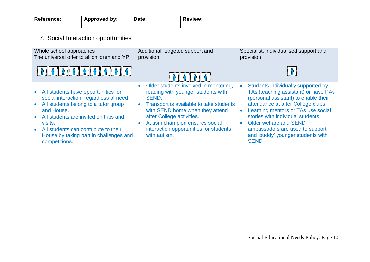| Reference: | Approved by: | Date: | Review: |
|------------|--------------|-------|---------|
|            |              |       |         |

## 7. Social Interaction opportunities

| Whole school approaches<br>The universal offer to all children and YP                                                                                                                                                                                                                      | Additional, targeted support and<br>provision                                                                                                                                                                                                                                                                                      | Specialist, individualised support and<br>provision                                                                                                                                                                                                                                                                                                         |
|--------------------------------------------------------------------------------------------------------------------------------------------------------------------------------------------------------------------------------------------------------------------------------------------|------------------------------------------------------------------------------------------------------------------------------------------------------------------------------------------------------------------------------------------------------------------------------------------------------------------------------------|-------------------------------------------------------------------------------------------------------------------------------------------------------------------------------------------------------------------------------------------------------------------------------------------------------------------------------------------------------------|
| ^    ^    ^    ^    ^    ^    ^                                                                                                                                                                                                                                                            |                                                                                                                                                                                                                                                                                                                                    |                                                                                                                                                                                                                                                                                                                                                             |
| All students have opportunities for<br>social interaction, regardless of need<br>All students belong to a tutor group<br>and House.<br>All students are invited on trips and<br>visits.<br>All students can contribute to their<br>House by taking part in challenges and<br>competitions. | Older students involved in mentoring,<br>$\bullet$<br>reading with younger students with<br>SEND.<br>Transport is available to take students<br>$\bullet$<br>with SEND home when they attend<br>after College activities.<br>Autism champion ensures social<br>$\bullet$<br>interaction opportunities for students<br>with autism. | Students individually supported by<br>TAs (teaching assistant) or have PAs<br>(personal assistant) to enable their<br>attendance at after College clubs.<br>Learning mentors or TAs use social<br>stories with individual students.<br><b>Older welfare and SEND</b><br>ambassadors are used to support<br>and 'buddy' younger students with<br><b>SEND</b> |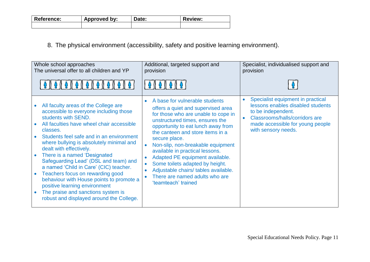| <b>Reference:</b> | Approved by: | Date: | Review: |
|-------------------|--------------|-------|---------|
|                   |              |       |         |

#### 8. The physical environment (accessibility, safety and positive learning environment).

| Whole school approaches<br>The universal offer to all children and YP                                                                                                                                                                                                                                                                                                                                                                                                                                                                                                                                   | Additional, targeted support and<br>provision                                                                                                                                                                                                                                                                                                                                                                                                                                           | Specialist, individualised support and<br>provision                                                                                                                                                                 |
|---------------------------------------------------------------------------------------------------------------------------------------------------------------------------------------------------------------------------------------------------------------------------------------------------------------------------------------------------------------------------------------------------------------------------------------------------------------------------------------------------------------------------------------------------------------------------------------------------------|-----------------------------------------------------------------------------------------------------------------------------------------------------------------------------------------------------------------------------------------------------------------------------------------------------------------------------------------------------------------------------------------------------------------------------------------------------------------------------------------|---------------------------------------------------------------------------------------------------------------------------------------------------------------------------------------------------------------------|
|                                                                                                                                                                                                                                                                                                                                                                                                                                                                                                                                                                                                         |                                                                                                                                                                                                                                                                                                                                                                                                                                                                                         |                                                                                                                                                                                                                     |
| All faculty areas of the College are<br>accessible to everyone including those<br>students with SEND.<br>All faculties have wheel chair accessible<br>classes.<br>Students feel safe and in an environment<br>where bullying is absolutely minimal and<br>dealt with effectively.<br>There is a named 'Designated<br>Safeguarding Lead' (DSL and team) and<br>a named 'Child in Care' (CIC) teacher.<br>Teachers focus on rewarding good<br>behaviour with House points to promote a<br>positive learning environment<br>The praise and sanctions system is<br>robust and displayed around the College. | A base for vulnerable students<br>offers a quiet and supervised area<br>for those who are unable to cope in<br>unstructured times, ensures the<br>opportunity to eat lunch away from<br>the canteen and store items in a<br>secure place.<br>Non-slip, non-breakable equipment<br>available in practical lessons.<br>Adapted PE equipment available.<br>Some toilets adapted by height.<br>Adjustable chairs/tables available.<br>There are named adults who are<br>'teamteach' trained | Specialist equipment in practical<br>$\bullet$<br>lessons enables disabled students<br>to be independent.<br>Classrooms/halls/corridors are<br>$\bullet$<br>made accessible for young people<br>with sensory needs. |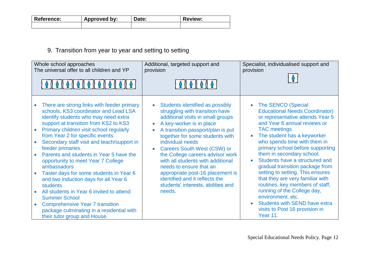| <b>Reference:</b> | Approved by: | Date: | Review: |
|-------------------|--------------|-------|---------|
|                   |              |       |         |

#### 9. Transition from year to year and setting to setting

| Whole school approaches<br>The universal offer to all children and YP                                                                                                                                                                                                                                                                                                                                                                                                                                                                                                                                                                                                                                                                 | Additional, targeted support and<br>provision                                                                                                                                                                                                                                                                                                                                                                                                                                                                      | Specialist, individualised support and<br>provision                                                                                                                                                                                                                                                                                                                                                                                                                                                                                                                                                                                  |
|---------------------------------------------------------------------------------------------------------------------------------------------------------------------------------------------------------------------------------------------------------------------------------------------------------------------------------------------------------------------------------------------------------------------------------------------------------------------------------------------------------------------------------------------------------------------------------------------------------------------------------------------------------------------------------------------------------------------------------------|--------------------------------------------------------------------------------------------------------------------------------------------------------------------------------------------------------------------------------------------------------------------------------------------------------------------------------------------------------------------------------------------------------------------------------------------------------------------------------------------------------------------|--------------------------------------------------------------------------------------------------------------------------------------------------------------------------------------------------------------------------------------------------------------------------------------------------------------------------------------------------------------------------------------------------------------------------------------------------------------------------------------------------------------------------------------------------------------------------------------------------------------------------------------|
| There are strong links with feeder primary<br>schools. KS3 coordinator and Lead LSA<br>identify students who may need extra<br>support at transition from KS2 to KS3<br>Primary children visit school regularly<br>from Year 2 for specific events.<br>Secondary staff visit and teach/support in<br>feeder primaries.<br>Parents and students in Year 5 have the<br>$\bullet$<br>opportunity to meet Year 7 College<br>ambassadors<br>Taster days for some students in Year 6<br>and two induction days for all Year 6<br><b>students</b><br>All students in Year 6 invited to attend<br><b>Summer School</b><br><b>Comprehensive Year 7 transition</b><br>package culminating in a residential with<br>their tutor group and House. | Students identified as possibly<br>$\bullet$<br>struggling with transition have<br>additional visits in small groups<br>A key-worker is in place<br>A transition passport/plan is put<br>together for some students with<br>individual needs<br>Careers South West (CSW) or<br>$\bullet$<br>the College careers advisor work<br>with all students with additional<br>needs to ensure that an<br>appropriate post-16 placement is<br>identified and it reflects the<br>students' interests, abilities and<br>needs. | The SENCO (Special<br>$\bullet$<br><b>Educational Needs Coordinator)</b><br>or representative attends Year 5<br>and Year 6 annual reviews or<br><b>TAC</b> meetings<br>The student has a keyworker<br>who spends time with them in<br>primary school before supporting<br>them in secondary school.<br>Students have a structured and<br>gradual transition package from<br>setting to setting. This ensures<br>that they are very familiar with<br>routines, key members of staff,<br>running of the College day,<br>environment, etc.<br><b>Students with SEND have extra</b><br>visits to Post 16 provision in<br><b>Year 11.</b> |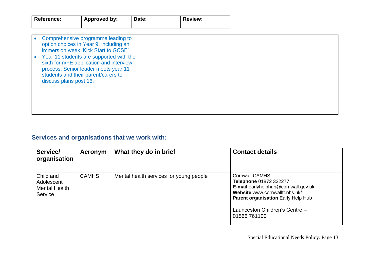| <b>Reference:</b> | Approved by: | Date: | Review: |
|-------------------|--------------|-------|---------|
|                   |              |       |         |

| Comprehensive programme leading to<br>option choices in Year 9, including an<br>immersion week 'Kick Start to GCSE'<br>Year 11 students are supported with the<br>sixth form/FE application and interview<br>process. Senior leader meets year 11<br>students and their parent/carers to<br>discuss plans post 16. |  |
|--------------------------------------------------------------------------------------------------------------------------------------------------------------------------------------------------------------------------------------------------------------------------------------------------------------------|--|
|                                                                                                                                                                                                                                                                                                                    |  |

 $\overline{a}$ 

## **Services and organisations that we work with:**

| Service/<br>organisation                                   | Acronym      | What they do in brief                   | <b>Contact details</b>                                                                                                                                                                                                    |
|------------------------------------------------------------|--------------|-----------------------------------------|---------------------------------------------------------------------------------------------------------------------------------------------------------------------------------------------------------------------------|
| Child and<br>Adolescent<br><b>Mental Health</b><br>Service | <b>CAMHS</b> | Mental health services for young people | <b>Cornwall CAMHS -</b><br>Telephone 01872 322277<br>E-mail earlyhelphub@cornwall.gov.uk<br>Website www.cornwallft.nhs.uk/<br><b>Parent organisation Early Help Hub</b><br>Launceston Children's Centre -<br>01566 761100 |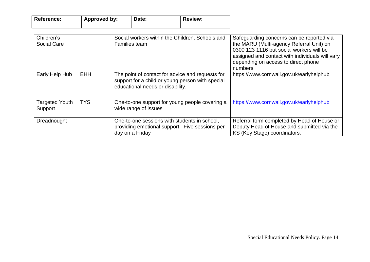| <b>Reference:</b> | Approved by: | Date: | Review: |
|-------------------|--------------|-------|---------|
|                   |              |       |         |

| Children's<br><b>Social Care</b> |            | Social workers within the Children, Schools and<br>Families team                                                                         | Safeguarding concerns can be reported via<br>the MARU (Multi-agency Referral Unit) on<br>0300 123 1116 but social workers will be<br>assigned and contact with individuals will vary<br>depending on access to direct phone<br>numbers |
|----------------------------------|------------|------------------------------------------------------------------------------------------------------------------------------------------|----------------------------------------------------------------------------------------------------------------------------------------------------------------------------------------------------------------------------------------|
| Early Help Hub                   | <b>EHH</b> | The point of contact for advice and requests for<br>support for a child or young person with special<br>educational needs or disability. | https://www.cornwall.gov.uk/earlyhelphub                                                                                                                                                                                               |
| <b>Targeted Youth</b><br>Support | <b>TYS</b> | One-to-one support for young people covering a<br>wide range of issues                                                                   | https://www.cornwall.gov.uk/earlyhelphub                                                                                                                                                                                               |
| Dreadnought                      |            | One-to-one sessions with students in school,<br>providing emotional support. Five sessions per<br>day on a Friday                        | Referral form completed by Head of House or<br>Deputy Head of House and submitted via the<br>KS (Key Stage) coordinators.                                                                                                              |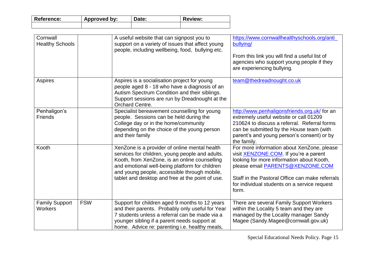| <b>Reference:</b> | Approved by: | <b>Date:</b> | <b>Review:</b> |
|-------------------|--------------|--------------|----------------|
|                   |              |              |                |

| Cornwall<br><b>Healthy Schools</b>      |            | A useful website that can signpost you to<br>support on a variety of issues that affect young<br>people, including wellbeing, food, bullying etc.                                                                                                                                                       | https://www.cornwallhealthyschools.org/anti_<br>bullying/<br>From this link you will find a useful list of<br>agencies who support young people if they<br>are experiencing bullying.                                                                                                    |
|-----------------------------------------|------------|---------------------------------------------------------------------------------------------------------------------------------------------------------------------------------------------------------------------------------------------------------------------------------------------------------|------------------------------------------------------------------------------------------------------------------------------------------------------------------------------------------------------------------------------------------------------------------------------------------|
| Aspires                                 |            | Aspires is a socialisation project for young<br>people aged 8 - 18 who have a diagnosis of an<br>Autism Spectrum Condition and their siblings.<br>Support sessions are run by Dreadnought at the<br>Orchard Centre.                                                                                     | team@thedreadnought.co.uk                                                                                                                                                                                                                                                                |
| Penhaligon's<br><b>Friends</b>          |            | Specialist bereavement counselling for young<br>people. Sessions can be held during the<br>College day or in the home/community<br>depending on the choice of the young person<br>and their family                                                                                                      | http://www.penhaligonsfriends.org.uk/ for an<br>extremely useful website or call 01209<br>210624 to discuss a referral. Referral forms<br>can be submitted by the House team (with<br>parent's and young person's consent) or by<br>the family.                                          |
| Kooth                                   |            | XenZone is a provider of online mental health<br>services for children, young people and adults.<br>Kooth, from XenZone, is an online counselling<br>and emotional well-being platform for children<br>and young people, accessible through mobile,<br>tablet and desktop and free at the point of use. | For more information about XenZone, please<br>visit <b>XENZONE.COM</b> . If you're a parent<br>looking for more information about Kooth,<br>please email PARENTS@XENZONE.COM<br>Staff in the Pastoral Office can make referrals<br>for individual students on a service request<br>form. |
| <b>Family Support</b><br><b>Workers</b> | <b>FSW</b> | Support for children aged 9 months to 12 years<br>and their parents. Probably only useful for Year<br>7 students unless a referral can be made via a<br>younger sibling if a parent needs support at<br>home. Advice re: parenting i.e. healthy meals,                                                  | There are several Family Support Workers<br>within the Locality 5 team and they are<br>managed by the Locality manager Sandy<br>Magee (Sandy.Magee@cornwall.gov.uk)                                                                                                                      |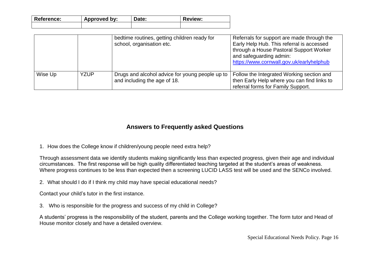| <b>Reference:</b> | Approved by: | Date: | Review: |
|-------------------|--------------|-------|---------|
|                   |              |       |         |

|         |             | bedtime routines, getting children ready for<br>school, organisation etc.       | Referrals for support are made through the<br>Early Help Hub. This referral is accessed<br>through a House Pastoral Support Worker<br>and safeguarding admin:<br>https://www.cornwall.gov.uk/earlyhelphub |
|---------|-------------|---------------------------------------------------------------------------------|-----------------------------------------------------------------------------------------------------------------------------------------------------------------------------------------------------------|
| Wise Up | <b>YZUP</b> | Drugs and alcohol advice for young people up to<br>and including the age of 18. | Follow the Integrated Working section and<br>then Early Help where you can find links to<br>referral forms for Family Support.                                                                            |

#### **Answers to Frequently asked Questions**

1. How does the College know if children/young people need extra help?

Through assessment data we identify students making significantly less than expected progress, given their age and individual circumstances. The first response will be high quality differentiated teaching targeted at the student's areas of weakness. Where progress continues to be less than expected then a screening LUCID LASS test will be used and the SENCo involved.

2. What should I do if I think my child may have special educational needs?

Contact your child's tutor in the first instance.

3. Who is responsible for the progress and success of my child in College?

A students' progress is the responsibility of the student, parents and the College working together. The form tutor and Head of House monitor closely and have a detailed overview.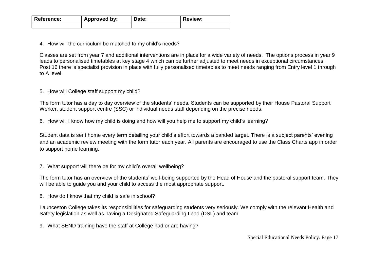| <b>Reference:</b> | Approved by: | Date: | <b>Review:</b> |
|-------------------|--------------|-------|----------------|
|                   |              |       |                |

4. How will the curriculum be matched to my child's needs?

Classes are set from year 7 and additional interventions are in place for a wide variety of needs. The options process in year 9 leads to personalised timetables at key stage 4 which can be further adjusted to meet needs in exceptional circumstances. Post 16 there is specialist provision in place with fully personalised timetables to meet needs ranging from Entry level 1 through to A level.

5. How will College staff support my child?

The form tutor has a day to day overview of the students' needs. Students can be supported by their House Pastoral Support Worker, student support centre (SSC) or individual needs staff depending on the precise needs.

6. How will I know how my child is doing and how will you help me to support my child's learning?

Student data is sent home every term detailing your child's effort towards a banded target. There is a subject parents' evening and an academic review meeting with the form tutor each year. All parents are encouraged to use the Class Charts app in order to support home learning.

7. What support will there be for my child's overall wellbeing?

The form tutor has an overview of the students' well-being supported by the Head of House and the pastoral support team. They will be able to quide you and your child to access the most appropriate support.

8. How do I know that my child is safe in school?

Launceston College takes its responsibilities for safeguarding students very seriously. We comply with the relevant Health and Safety legislation as well as having a Designated Safeguarding Lead (DSL) and team

9. What SEND training have the staff at College had or are having?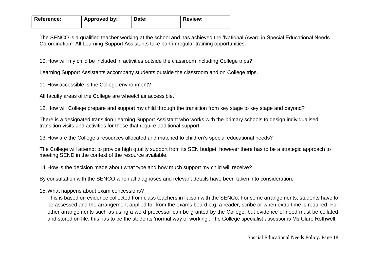| <b>Reference:</b> | Approved by: | Date: | Review: |
|-------------------|--------------|-------|---------|
|                   |              |       |         |

The SENCO is a qualified teacher working at the school and has achieved the 'National Award in Special Educational Needs Co-ordination'. All Learning Support Assistants take part in regular training opportunities.

10.How will my child be included in activities outside the classroom including College trips?

Learning Support Assistants accompany students outside the classroom and on College trips.

11.How accessible is the College environment?

All faculty areas of the College are wheelchair accessible.

12.How will College prepare and support my child through the transition from key stage to key stage and beyond?

There is a designated transition Learning Support Assistant who works with the primary schools to design individualised transition visits and activities for those that require additional support

13.How are the College's resources allocated and matched to children's special educational needs?

The College will attempt to provide high quality support from its SEN budget, however there has to be a strategic approach to meeting SEND in the context of the resource available.

14.How is the decision made about what type and how much support my child will receive?

By consultation with the SENCO when all diagnoses and relevant details have been taken into consideration.

15.What happens about exam concessions?

This is based on evidence collected from class teachers in liaison with the SENCo. For some arrangements, students have to be assessed and the arrangement applied for from the exams board e.g. a reader, scribe or when extra time is required. For other arrangements such as using a word processor can be granted by the College, but evidence of need must be collated and stored on file, this has to be the students 'normal way of working'. The College specialist assessor is Ms Clare Rothwell.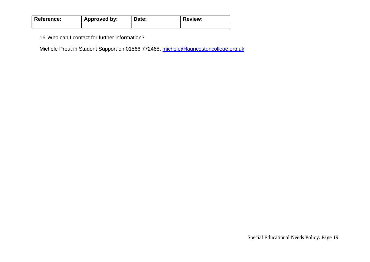| <b>Reference:</b> | Approved by: | Date: | Review: |
|-------------------|--------------|-------|---------|
|                   |              |       |         |

16.Who can I contact for further information?

Michele Prout in Student Support on 01566 772468, [michele@launcestoncollege.org.uk](mailto:michele@launcestoncollege.org.uk)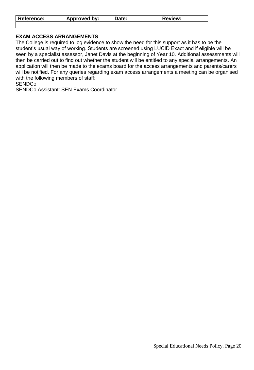| <b>Reference:</b> | Approved by: | Date: | Review: |
|-------------------|--------------|-------|---------|
|                   |              |       |         |

#### **EXAM ACCESS ARRANGEMENTS**

The College is required to log evidence to show the need for this support as it has to be the student's usual way of working. Students are screened using LUCID Exact and if eligible will be seen by a specialist assessor, Janet Davis at the beginning of Year 10. Additional assessments will then be carried out to find out whether the student will be entitled to any special arrangements. An application will then be made to the exams board for the access arrangements and parents/carers will be notified. For any queries regarding exam access arrangements a meeting can be organised with the following members of staff:

**SENDCo** 

SENDCo Assistant: SEN Exams Coordinator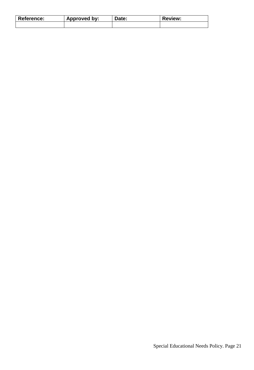| <b>Reference:</b> | Approved by: | Date: | <b>Review:</b> |
|-------------------|--------------|-------|----------------|
|                   |              |       |                |